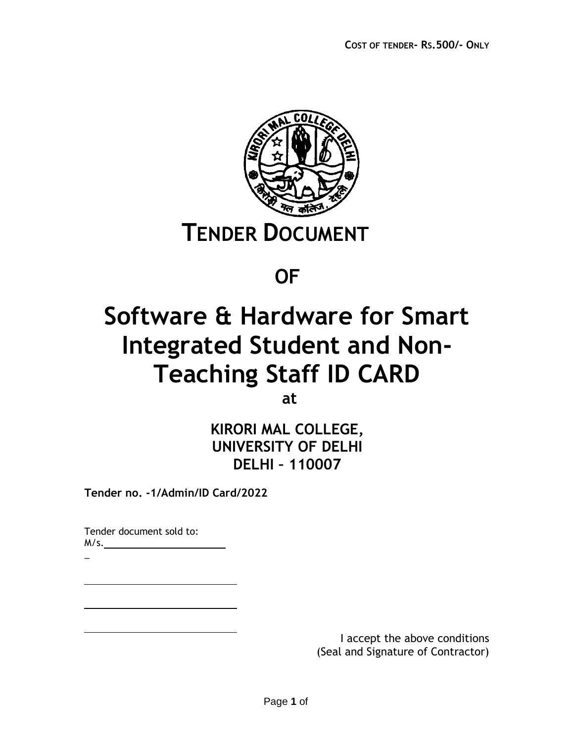

## **OF**

# **Software & Hardware for Smart Integrated Student and Non-Teaching Staff ID CARD**

**at**

**KIRORI MAL COLLEGE, UNIVERSITY OF DELHI DELHI – 110007**

**Tender no. -1/Admin/ID Card/2022**

Tender document sold to: M/s.

\_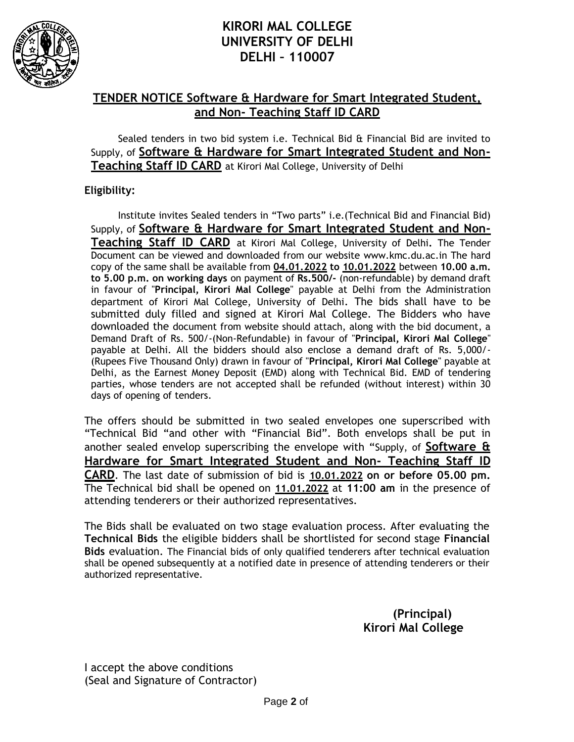

## **KIRORI MAL COLLEGE UNIVERSITY OF DELHI DELHI – 110007**

#### **TENDER NOTICE Software & Hardware for Smart Integrated Student, and Non- Teaching Staff ID CARD**

Sealed tenders in two bid system i.e. Technical Bid & Financial Bid are invited to Supply, of **Software & Hardware for Smart Integrated Student and Non-Teaching Staff ID CARD** at Kirori Mal College, University of Delhi

#### **Eligibility:**

Institute invites Sealed tenders in "Two parts" i.e.(Technical Bid and Financial Bid) Supply, of **Software & Hardware for Smart Integrated Student and Non-Teaching Staff ID CARD** at Kirori Mal College, University of Delhi**.** The Tender Document can be viewed and downloaded from our website [www.kmc.du.ac.in T](http://www.kmc.du.ac.in/)he hard copy of the same shall be available from **04.01.2022 to 10.01.2022** between **10.00 a.m. to 5.00 p.m. on working days** on payment of **Rs.500/-** (non-refundable) by demand draft in favour of "**Principal, Kirori Mal College**" payable at Delhi from the Administration department of Kirori Mal College, University of Delhi. The bids shall have to be submitted duly filled and signed at Kirori Mal College. The Bidders who have downloaded the document from website should attach, along with the bid document, a Demand Draft of Rs. 500/-(Non-Refundable) in favour of "**Principal, Kirori Mal College**" payable at Delhi. All the bidders should also enclose a demand draft of Rs. 5,000/- (Rupees Five Thousand Only) drawn in favour of "**Principal, Kirori Mal College**" payable at Delhi, as the Earnest Money Deposit (EMD) along with Technical Bid. EMD of tendering parties, whose tenders are not accepted shall be refunded (without interest) within 30 days of opening of tenders.

The offers should be submitted in two sealed envelopes one superscribed with "Technical Bid "and other with "Financial Bid". Both envelops shall be put in another sealed envelop superscribing the envelope with "Supply, of **Software & Hardware for Smart Integrated Student and Non- Teaching Staff ID CARD**. The last date of submission of bid is **10.01.2022 on or before 05.00 pm.**  The Technical bid shall be opened on **11.01.2022** at **11:00 am** in the presence of attending tenderers or their authorized representatives.

The Bids shall be evaluated on two stage evaluation process. After evaluating the **Technical Bids** the eligible bidders shall be shortlisted for second stage **Financial Bids** evaluation. The Financial bids of only qualified tenderers after technical evaluation shall be opened subsequently at a notified date in presence of attending tenderers or their authorized representative.

#### **(Principal) Kirori Mal College**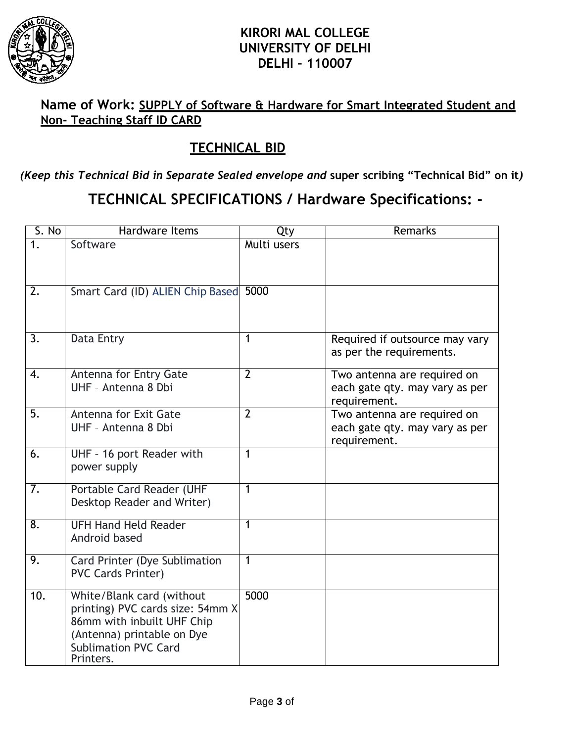

## **KIRORI MAL COLLEGE UNIVERSITY OF DELHI DELHI – 110007**

## **Name of Work: SUPPLY of Software & Hardware for Smart Integrated Student and Non- Teaching Staff ID CARD**

## **TECHNICAL BID**

*(Keep this Technical Bid in Separate Sealed envelope and* **super scribing "Technical Bid" on it***)*

## **TECHNICAL SPECIFICATIONS / Hardware Specifications: -**

| S. No            | Hardware Items                                                                                                                                                        | Qty            | Remarks                                                                       |  |
|------------------|-----------------------------------------------------------------------------------------------------------------------------------------------------------------------|----------------|-------------------------------------------------------------------------------|--|
| 1 <sub>1</sub>   | Software                                                                                                                                                              | Multi users    |                                                                               |  |
| $\overline{2}$ . | Smart Card (ID) ALIEN Chip Based                                                                                                                                      | 5000           |                                                                               |  |
| 3.               | Data Entry                                                                                                                                                            | 1              | Required if outsource may vary<br>as per the requirements.                    |  |
| 4.               | Antenna for Entry Gate<br>UHF - Antenna 8 Dbi                                                                                                                         | $\overline{2}$ | Two antenna are required on<br>each gate qty. may vary as per<br>requirement. |  |
| $\overline{5}$ . | <b>Antenna for Exit Gate</b><br>UHF - Antenna 8 Dbi                                                                                                                   | $\overline{2}$ | Two antenna are required on<br>each gate qty. may vary as per<br>requirement. |  |
| 6.               | UHF - 16 port Reader with<br>power supply                                                                                                                             | $\mathbf{1}$   |                                                                               |  |
| 7.               | Portable Card Reader (UHF<br>Desktop Reader and Writer)                                                                                                               | $\mathbf{1}$   |                                                                               |  |
| $\overline{8}$ . | <b>UFH Hand Held Reader</b><br>Android based                                                                                                                          | 1              |                                                                               |  |
| 9.               | Card Printer (Dye Sublimation<br><b>PVC Cards Printer)</b>                                                                                                            | 1              |                                                                               |  |
| 10.              | White/Blank card (without<br>printing) PVC cards size: 54mm X<br>86mm with inbuilt UHF Chip<br>(Antenna) printable on Dye<br><b>Sublimation PVC Card</b><br>Printers. | 5000           |                                                                               |  |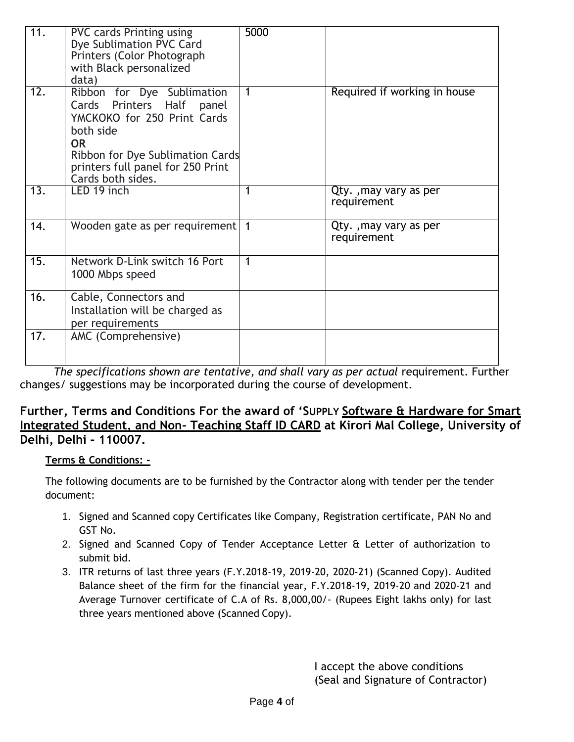| 11.              | <b>PVC cards Printing using</b><br>Dye Sublimation PVC Card<br>Printers (Color Photograph<br>with Black personalized<br>data)                                                                                     | 5000           |                                      |
|------------------|-------------------------------------------------------------------------------------------------------------------------------------------------------------------------------------------------------------------|----------------|--------------------------------------|
| $\overline{12.}$ | Ribbon for Dye Sublimation<br>Cards Printers Half<br>panel<br>YMCKOKO for 250 Print Cards<br>both side<br><b>OR</b><br>Ribbon for Dye Sublimation Cards<br>printers full panel for 250 Print<br>Cards both sides. | 1              | Required if working in house         |
| 13.              | LED 19 inch                                                                                                                                                                                                       | $\overline{1}$ | Qty., may vary as per<br>requirement |
| 14.              | Wooden gate as per requirement                                                                                                                                                                                    | $\mathbf 1$    | Qty., may vary as per<br>requirement |
| 15.              | Network D-Link switch 16 Port<br>1000 Mbps speed                                                                                                                                                                  | 1              |                                      |
| 16.              | Cable, Connectors and<br>Installation will be charged as<br>per requirements                                                                                                                                      |                |                                      |
| 17.              | AMC (Comprehensive)                                                                                                                                                                                               |                |                                      |

The specifications shown are tentative, and shall vary as per actual requirement. Further changes/ suggestions may be incorporated during the course of development.

#### **Further, Terms and Conditions For the award of 'SUPPLY Software & Hardware for Smart Integrated Student, and Non- Teaching Staff ID CARD at Kirori Mal College, University of Delhi, Delhi – 110007.**

#### **Terms & Conditions: -**

The following documents are to be furnished by the Contractor along with tender per the tender document:

- 1. Signed and Scanned copy Certificates like Company, Registration certificate, PAN No and GST No.
- 2. Signed and Scanned Copy of Tender Acceptance Letter & Letter of authorization to submit bid.
- 3. ITR returns of last three years (F.Y.2018-19, 2019-20, 2020-21) (Scanned Copy). Audited Balance sheet of the firm for the financial year, F.Y.2018-19, 2019-20 and 2020-21 and Average Turnover certificate of C.A of Rs. 8,000,00/- (Rupees Eight lakhs only) for last three years mentioned above (Scanned Copy).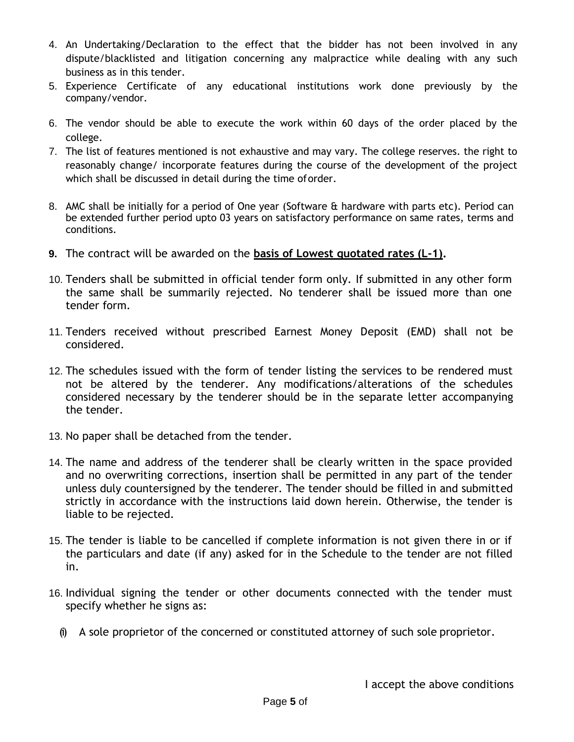- 4. An Undertaking/Declaration to the effect that the bidder has not been involved in any dispute/blacklisted and litigation concerning any malpractice while dealing with any such business as in this tender.
- 5. Experience Certificate of any educational institutions work done previously by the company/vendor.
- 6. The vendor should be able to execute the work within 60 days of the order placed by the college.
- 7. The list of features mentioned is not exhaustive and may vary. The college reserves. the right to reasonably change/ incorporate features during the course of the development of the project which shall be discussed in detail during the time oforder.
- 8. AMC shall be initially for a period of One year (Software & hardware with parts etc). Period can be extended further period upto 03 years on satisfactory performance on same rates, terms and conditions.
- **9.** The contract will be awarded on the **basis of Lowest quotated rates (L-1).**
- 10. Tenders shall be submitted in official tender form only. If submitted in any other form the same shall be summarily rejected. No tenderer shall be issued more than one tender form.
- 11. Tenders received without prescribed Earnest Money Deposit (EMD) shall not be considered.
- 12. The schedules issued with the form of tender listing the services to be rendered must not be altered by the tenderer. Any modifications/alterations of the schedules considered necessary by the tenderer should be in the separate letter accompanying the tender.
- 13. No paper shall be detached from the tender.
- 14. The name and address of the tenderer shall be clearly written in the space provided and no overwriting corrections, insertion shall be permitted in any part of the tender unless duly countersigned by the tenderer. The tender should be filled in and submitted strictly in accordance with the instructions laid down herein. Otherwise, the tender is liable to be rejected.
- 15. The tender is liable to be cancelled if complete information is not given there in or if the particulars and date (if any) asked for in the Schedule to the tender are not filled in.
- 16. Individual signing the tender or other documents connected with the tender must specify whether he signs as:
	- (i) A sole proprietor of the concerned or constituted attorney of such sole proprietor.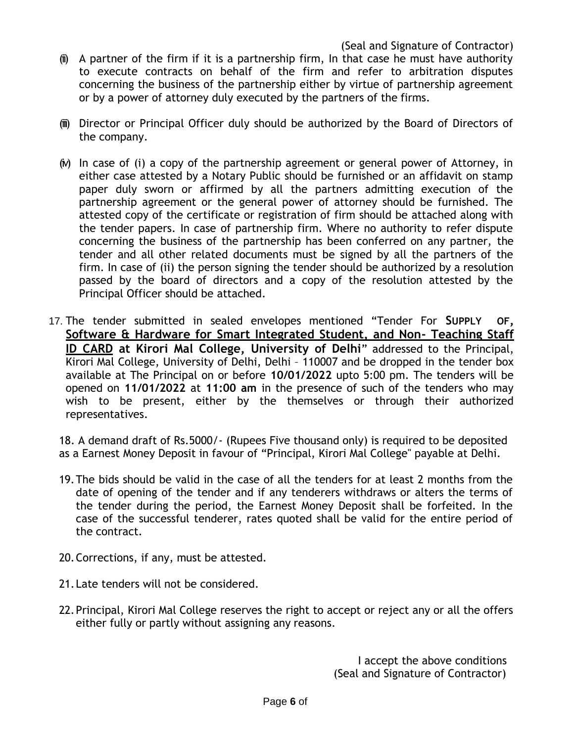- $(ii)$  A partner of the firm if it is a partnership firm, In that case he must have authority to execute contracts on behalf of the firm and refer to arbitration disputes concerning the business of the partnership either by virtue of partnership agreement or by a power of attorney duly executed by the partners of the firms.
- (iii) Director or Principal Officer duly should be authorized by the Board of Directors of the company.
- (iv) In case of (i) a copy of the partnership agreement or general power of Attorney, in either case attested by a Notary Public should be furnished or an affidavit on stamp paper duly sworn or affirmed by all the partners admitting execution of the partnership agreement or the general power of attorney should be furnished. The attested copy of the certificate or registration of firm should be attached along with the tender papers. In case of partnership firm. Where no authority to refer dispute concerning the business of the partnership has been conferred on any partner, the tender and all other related documents must be signed by all the partners of the firm. In case of (ii) the person signing the tender should be authorized by a resolution passed by the board of directors and a copy of the resolution attested by the Principal Officer should be attached.
- 17. The tender submitted in sealed envelopes mentioned "Tender For **SUPPLY OF, Software & Hardware for Smart Integrated Student, and Non- Teaching Staff ID CARD at Kirori Mal College, University of Delhi**" addressed to the Principal, Kirori Mal College, University of Delhi, Delhi – 110007 and be dropped in the tender box available at The Principal on or before **10/01/2022** upto 5:00 pm. The tenders will be opened on **11/01/2022** at **11:00 am** in the presence of such of the tenders who may wish to be present, either by the themselves or through their authorized representatives.

18. A demand draft of Rs.5000/- (Rupees Five thousand only) is required to be deposited as a Earnest Money Deposit in favour of "Principal, Kirori Mal College" payable at Delhi.

- 19.The bids should be valid in the case of all the tenders for at least 2 months from the date of opening of the tender and if any tenderers withdraws or alters the terms of the tender during the period, the Earnest Money Deposit shall be forfeited. In the case of the successful tenderer, rates quoted shall be valid for the entire period of the contract.
- 20.Corrections, if any, must be attested.
- 21.Late tenders will not be considered.
- 22.Principal, Kirori Mal College reserves the right to accept or reject any or all the offers either fully or partly without assigning any reasons.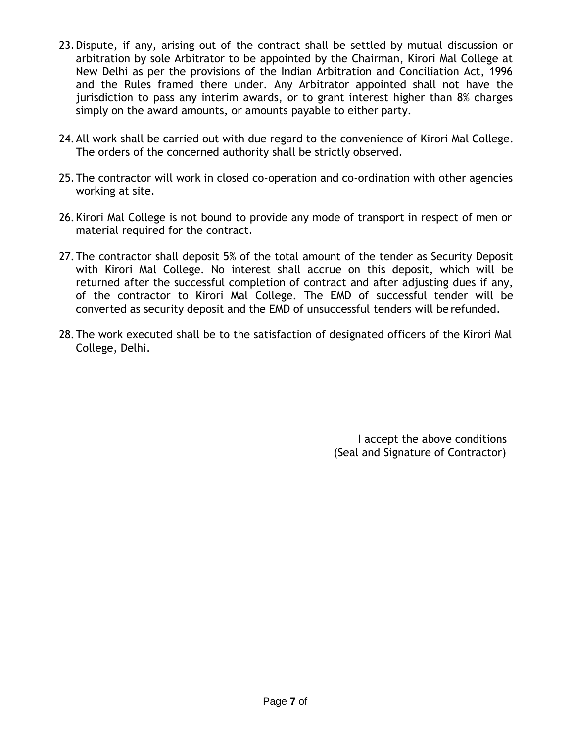- 23.Dispute, if any, arising out of the contract shall be settled by mutual discussion or arbitration by sole Arbitrator to be appointed by the Chairman, Kirori Mal College at New Delhi as per the provisions of the Indian Arbitration and Conciliation Act, 1996 and the Rules framed there under. Any Arbitrator appointed shall not have the jurisdiction to pass any interim awards, or to grant interest higher than 8% charges simply on the award amounts, or amounts payable to either party.
- 24.All work shall be carried out with due regard to the convenience of Kirori Mal College. The orders of the concerned authority shall be strictly observed.
- 25.The contractor will work in closed co-operation and co-ordination with other agencies working at site.
- 26.Kirori Mal College is not bound to provide any mode of transport in respect of men or material required for the contract.
- 27.The contractor shall deposit 5% of the total amount of the tender as Security Deposit with Kirori Mal College. No interest shall accrue on this deposit, which will be returned after the successful completion of contract and after adjusting dues if any, of the contractor to Kirori Mal College. The EMD of successful tender will be converted as security deposit and the EMD of unsuccessful tenders will be refunded.
- 28.The work executed shall be to the satisfaction of designated officers of the Kirori Mal College, Delhi.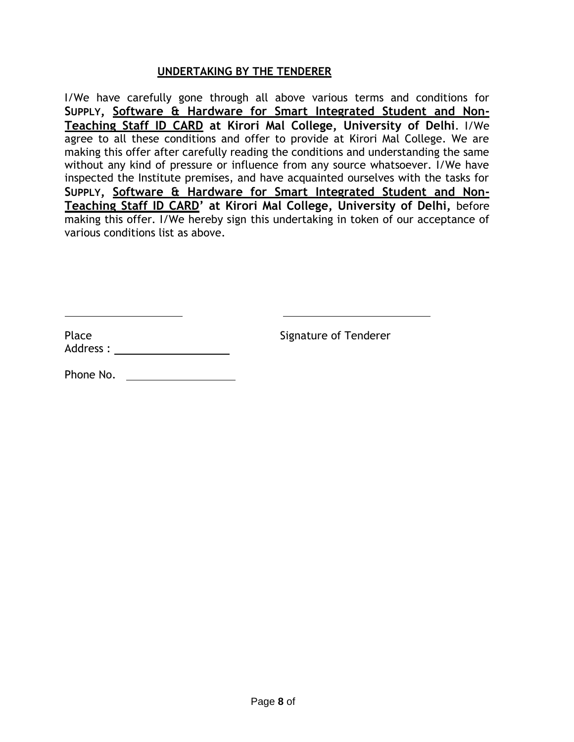#### **UNDERTAKING BY THE TENDERER**

I/We have carefully gone through all above various terms and conditions for **SUPPLY, Software & Hardware for Smart Integrated Student and Non-Teaching Staff ID CARD at Kirori Mal College, University of Delhi**. I/We agree to all these conditions and offer to provide at Kirori Mal College. We are making this offer after carefully reading the conditions and understanding the same without any kind of pressure or influence from any source whatsoever. I/We have inspected the Institute premises, and have acquainted ourselves with the tasks for **SUPPLY, Software & Hardware for Smart Integrated Student and Non-Teaching Staff ID CARD' at Kirori Mal College, University of Delhi,** before making this offer. I/We hereby sign this undertaking in token of our acceptance of various conditions list as above.

Place **Signature of Tenderer** Address :

Phone No.